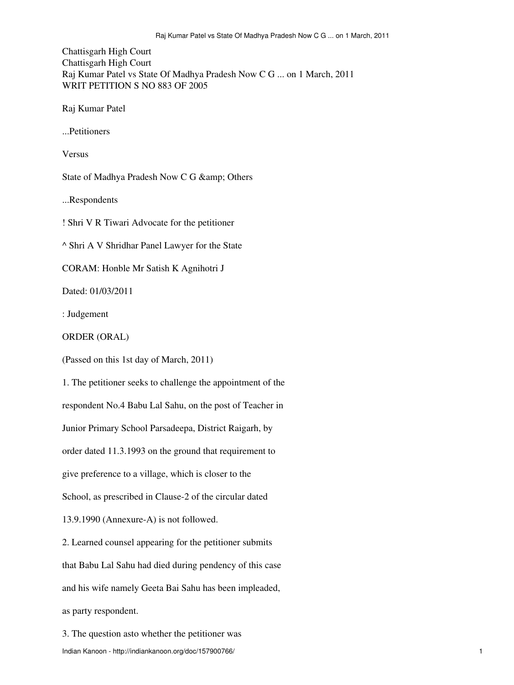Chattisgarh High Court Chattisgarh High Court Raj Kumar Patel vs State Of Madhya Pradesh Now C G ... on 1 March, 2011 WRIT PETITION S NO 883 OF 2005

Raj Kumar Patel

...Petitioners

Versus

State of Madhya Pradesh Now C G & amp; Others

...Respondents

! Shri V R Tiwari Advocate for the petitioner

^ Shri A V Shridhar Panel Lawyer for the State

CORAM: Honble Mr Satish K Agnihotri J

Dated: 01/03/2011

: Judgement

ORDER (ORAL)

(Passed on this 1st day of March, 2011)

1. The petitioner seeks to challenge the appointment of the respondent No.4 Babu Lal Sahu, on the post of Teacher in Junior Primary School Parsadeepa, District Raigarh, by order dated 11.3.1993 on the ground that requirement to give preference to a village, which is closer to the School, as prescribed in Clause-2 of the circular dated 13.9.1990 (Annexure-A) is not followed. 2. Learned counsel appearing for the petitioner submits that Babu Lal Sahu had died during pendency of this case and his wife namely Geeta Bai Sahu has been impleaded, as party respondent.

3. The question asto whether the petitioner was Indian Kanoon - http://indiankanoon.org/doc/157900766/ 1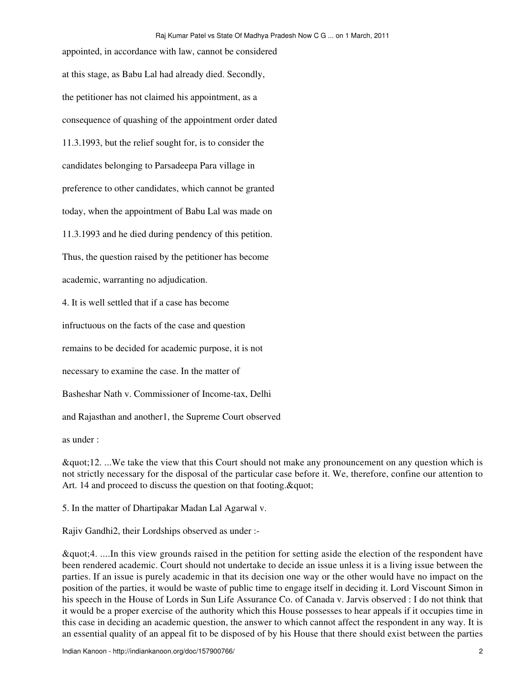appointed, in accordance with law, cannot be considered at this stage, as Babu Lal had already died. Secondly, the petitioner has not claimed his appointment, as a consequence of quashing of the appointment order dated 11.3.1993, but the relief sought for, is to consider the candidates belonging to Parsadeepa Para village in preference to other candidates, which cannot be granted today, when the appointment of Babu Lal was made on 11.3.1993 and he died during pendency of this petition. Thus, the question raised by the petitioner has become academic, warranting no adjudication. 4. It is well settled that if a case has become infructuous on the facts of the case and question remains to be decided for academic purpose, it is not necessary to examine the case. In the matter of Basheshar Nath v. Commissioner of Income-tax, Delhi and Rajasthan and another1, the Supreme Court observed as under :

"12. ...We take the view that this Court should not make any pronouncement on any question which is not strictly necessary for the disposal of the particular case before it. We, therefore, confine our attention to Art. 14 and proceed to discuss the question on that footing. & quot;

5. In the matter of Dhartipakar Madan Lal Agarwal v.

Rajiv Gandhi2, their Lordships observed as under :-

"4. ....In this view grounds raised in the petition for setting aside the election of the respondent have been rendered academic. Court should not undertake to decide an issue unless it is a living issue between the parties. If an issue is purely academic in that its decision one way or the other would have no impact on the position of the parties, it would be waste of public time to engage itself in deciding it. Lord Viscount Simon in his speech in the House of Lords in Sun Life Assurance Co. of Canada v. Jarvis observed : I do not think that it would be a proper exercise of the authority which this House possesses to hear appeals if it occupies time in this case in deciding an academic question, the answer to which cannot affect the respondent in any way. It is an essential quality of an appeal fit to be disposed of by his House that there should exist between the parties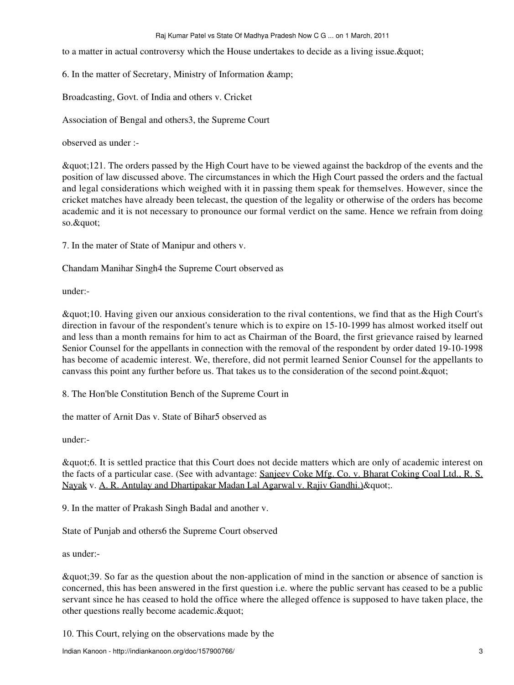## Raj Kumar Patel vs State Of Madhya Pradesh Now C G ... on 1 March, 2011

to a matter in actual controversy which the House undertakes to decide as a living issue. & quot;

6. In the matter of Secretary, Ministry of Information &

Broadcasting, Govt. of India and others v. Cricket

Association of Bengal and others3, the Supreme Court

observed as under :-

"121. The orders passed by the High Court have to be viewed against the backdrop of the events and the position of law discussed above. The circumstances in which the High Court passed the orders and the factual and legal considerations which weighed with it in passing them speak for themselves. However, since the cricket matches have already been telecast, the question of the legality or otherwise of the orders has become academic and it is not necessary to pronounce our formal verdict on the same. Hence we refrain from doing so."

7. In the mater of State of Manipur and others v.

Chandam Manihar Singh4 the Supreme Court observed as

under:-

"10. Having given our anxious consideration to the rival contentions, we find that as the High Court's direction in favour of the respondent's tenure which is to expire on 15-10-1999 has almost worked itself out and less than a month remains for him to act as Chairman of the Board, the first grievance raised by learned Senior Counsel for the appellants in connection with the removal of the respondent by order dated 19-10-1998 has become of academic interest. We, therefore, did not permit learned Senior Counsel for the appellants to canvass this point any further before us. That takes us to the consideration of the second point. & quot;

8. The Hon'ble Constitution Bench of the Supreme Court in

the matter of Arnit Das v. State of Bihar5 observed as

under:-

"6. It is settled practice that this Court does not decide matters which are only of academic interest on the facts of a particular case. (See with advantage: Sanjeev Coke Mfg. Co. v. Bharat Coking Coal Ltd., R. S. Nayak v. A. R. Antulay and Dhartipakar Madan Lal Agarwal v. Rajiv Gandhi.) & quot;.

9. In the matter of Prakash Singh Badal and another v.

State of Punjab and others6 the Supreme Court observed

as under:-

"39. So far as the question about the non-application of mind in the sanction or absence of sanction is concerned, this has been answered in the first question i.e. where the public servant has ceased to be a public servant since he has ceased to hold the office where the alleged offence is supposed to have taken place, the other questions really become academic. $\&$ quot;

10. This Court, relying on the observations made by the